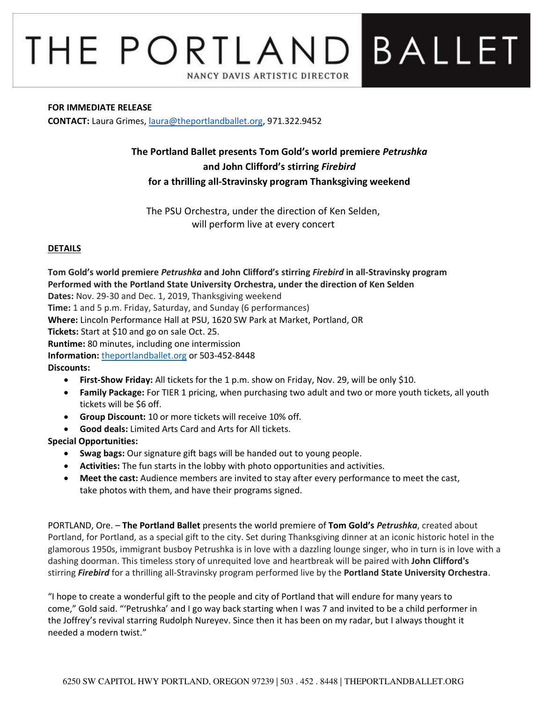# THE PORTLAND BALLET NANCY DAVIS ARTISTIC DIRECTOR

#### **FOR IMMEDIATE RELEASE**

**CONTACT:** Laura Grimes, [laura@theportlandballet.org,](mailto:laura@theportlandballet.org) 971.322.9452

## **The Portland Ballet presents Tom Gold's world premiere** *Petrushka* **and John Clifford's stirring** *Firebird* **for a thrilling all-Stravinsky program Thanksgiving weekend**

The PSU Orchestra, under the direction of Ken Selden, will perform live at every concert

#### **DETAILS**

**Tom Gold's world premiere** *Petrushka* **and John Clifford's stirring** *Firebird* **in all-Stravinsky program Performed with the Portland State University Orchestra, under the direction of Ken Selden Dates:** Nov. 29-30 and Dec. 1, 2019, Thanksgiving weekend **Time:** 1 and 5 p.m. Friday, Saturday, and Sunday (6 performances) **Where:** Lincoln Performance Hall at PSU, 1620 SW Park at Market, Portland, OR **Tickets:** Start at \$10 and go on sale Oct. 25. **Runtime:** 80 minutes, including one intermission **Information:** [theportlandballet.org](https://theportlandballet.org/) or 503-452-8448 **Discounts:**  • **First-Show Friday:** All tickets for the 1 p.m. show on Friday, Nov. 29, will be only \$10.

- **Family Package:** For TIER 1 pricing, when purchasing two adult and two or more youth tickets, all youth tickets will be \$6 off.
- **Group Discount:** 10 or more tickets will receive 10% off.
- **Good deals:** Limited Arts Card and Arts for All tickets.

### **Special Opportunities:**

- **Swag bags:** Our signature gift bags will be handed out to young people.
- **Activities:** The fun starts in the lobby with photo opportunities and activities.
- **Meet the cast:** Audience members are invited to stay after every performance to meet the cast, take photos with them, and have their programs signed.

PORTLAND, Ore. – **The Portland Ballet** presents the world premiere of **Tom Gold's** *Petrushka*, created about Portland, for Portland, as a special gift to the city. Set during Thanksgiving dinner at an iconic historic hotel in the glamorous 1950s, immigrant busboy Petrushka is in love with a dazzling lounge singer, who in turn is in love with a dashing doorman. This timeless story of unrequited love and heartbreak will be paired with **John Clifford's** stirring *Firebird* for a thrilling all-Stravinsky program performed live by the **Portland State University Orchestra**.

"I hope to create a wonderful gift to the people and city of Portland that will endure for many years to come," Gold said. "'Petrushka' and I go way back starting when I was 7 and invited to be a child performer in the Joffrey's revival starring Rudolph Nureyev. Since then it has been on my radar, but I always thought it needed a modern twist."